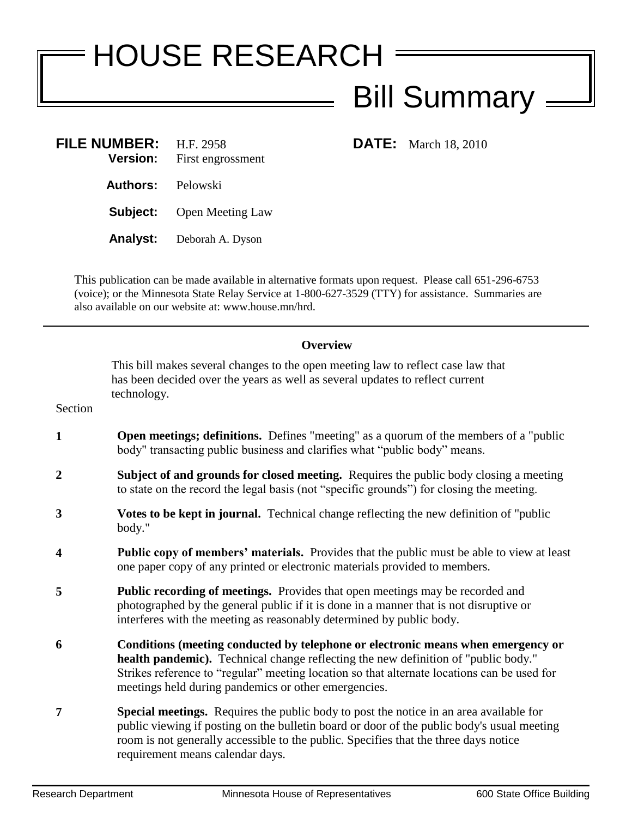## HOUSE RESEARCH Bill Summary

| <b>FILE NUMBER:</b><br><b>Version:</b> | H.F. 2958<br>First engrossment |
|----------------------------------------|--------------------------------|
| <b>Authors:</b> Pelowski               |                                |
| Subject:                               | <b>Open Meeting Law</b>        |
| Analyst:                               | Deborah A. Dyson               |

**FILE:** March 18, 2010

This publication can be made available in alternative formats upon request. Please call 651-296-6753 (voice); or the Minnesota State Relay Service at 1-800-627-3529 (TTY) for assistance. Summaries are also available on our website at: www.house.mn/hrd.

## **Overview**

This bill makes several changes to the open meeting law to reflect case law that has been decided over the years as well as several updates to reflect current technology.

Section

- **1 1 Open meetings; definitions.** Defines "meeting" as a quorum of the members of a "public body" transacting public business and clarifies what "public body" means.
- **2 Subject of and grounds for closed meeting.** Requires the public body closing a meeting to state on the record the legal basis (not "specific grounds") for closing the meeting.
- **3 Votes to be kept in journal.** Technical change reflecting the new definition of "public body."
- **4 Public copy of members' materials.** Provides that the public must be able to view at least one paper copy of any printed or electronic materials provided to members.
- **5 Public recording of meetings.** Provides that open meetings may be recorded and photographed by the general public if it is done in a manner that is not disruptive or interferes with the meeting as reasonably determined by public body.
- **6 Conditions (meeting conducted by telephone or electronic means when emergency or health pandemic).** Technical change reflecting the new definition of "public body." Strikes reference to "regular" meeting location so that alternate locations can be used for meetings held during pandemics or other emergencies.
- **7 Special meetings.** Requires the public body to post the notice in an area available for public viewing if posting on the bulletin board or door of the public body's usual meeting room is not generally accessible to the public. Specifies that the three days notice requirement means calendar days.